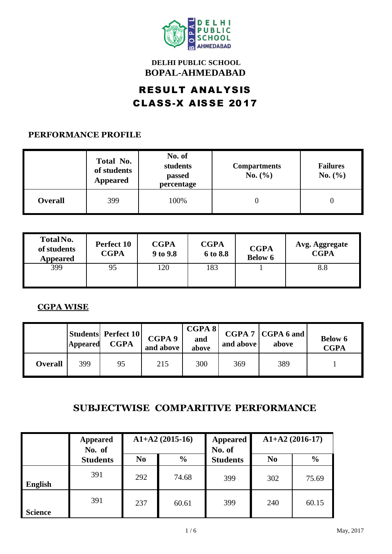

### **DELHI PUBLIC SCHOOL BOPAL-AHMEDABAD**

## RESULT ANALYSIS CLASS-X AIS SE 20 17

#### **PERFORMANCE PROFILE**

|                | Total No.<br>of students<br><b>Appeared</b> | No. of<br>students<br>passed<br>percentage | <b>Compartments</b><br>No. (%) | <b>Failures</b><br>No. (%) |  |
|----------------|---------------------------------------------|--------------------------------------------|--------------------------------|----------------------------|--|
| <b>Overall</b> | 399                                         | 100%                                       |                                |                            |  |

| Total No.<br>of students<br><b>Appeared</b> | Perfect 10<br><b>CGPA</b> | <b>CGPA</b><br>9 to 9.8 | <b>CGPA</b><br>6 to 8.8 | <b>CGPA</b><br><b>Below 6</b> | Avg. Aggregate<br><b>CGPA</b> |
|---------------------------------------------|---------------------------|-------------------------|-------------------------|-------------------------------|-------------------------------|
| 399                                         | 95                        | 120                     | 183                     |                               | 8.8                           |

#### **CGPA WISE**

|                | Appeared | <b>Students Perfect 10</b><br><b>CGPA</b> | CGPA 9<br>and above | CGPA 8<br>and<br>above | and above | $CGPA 7   CGPA 6$ and<br>above | <b>Below 6</b><br><b>CGPA</b> |
|----------------|----------|-------------------------------------------|---------------------|------------------------|-----------|--------------------------------|-------------------------------|
| <b>Overall</b> | 399      | 95                                        | 215                 | 300                    | 369       | 389                            |                               |

## **SUBJECTWISE COMPARITIVE PERFORMANCE**

|                | <b>Appeared</b><br>No. of |                                 | $A1+A2(2015-16)$ | <b>Appeared</b><br>No. of | $A1+A2(2016-17)$ |               |  |
|----------------|---------------------------|---------------------------------|------------------|---------------------------|------------------|---------------|--|
|                | <b>Students</b>           | N <sub>0</sub><br>$\frac{0}{0}$ |                  | <b>Students</b>           | N <sub>0</sub>   | $\frac{0}{0}$ |  |
| <b>English</b> | 391                       | 292                             | 74.68            | 399                       | 302              | 75.69         |  |
| <b>Science</b> | 391                       | 237                             | 60.61            | 399                       | 240              | 60.15         |  |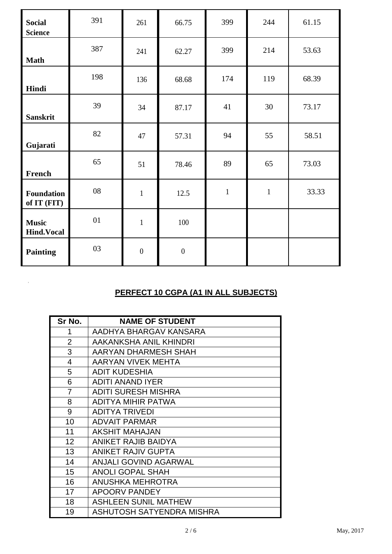| <b>Social</b><br><b>Science</b>   | 391 | 261              | 66.75            | 399          | 244          | 61.15 |
|-----------------------------------|-----|------------------|------------------|--------------|--------------|-------|
| <b>Math</b>                       | 387 | 241              | 62.27            | 399          | 214          | 53.63 |
| Hindi                             | 198 | 136              | 68.68            | 174          | 119          | 68.39 |
| <b>Sanskrit</b>                   | 39  | 34               | 87.17            | 41           | 30           | 73.17 |
| Gujarati                          | 82  | 47               | 57.31            | 94           | 55           | 58.51 |
| French                            | 65  | 51               | 78.46            | 89           | 65           | 73.03 |
| Foundation<br>of IT (FIT)         | 08  | $\mathbf{1}$     | 12.5             | $\mathbf{1}$ | $\mathbf{1}$ | 33.33 |
| <b>Music</b><br><b>Hind.Vocal</b> | 01  | $\mathbf{1}$     | 100              |              |              |       |
| <b>Painting</b>                   | 03  | $\boldsymbol{0}$ | $\boldsymbol{0}$ |              |              |       |

## **PERFECT 10 CGPA (A1 IN ALL SUBJECTS)**

| Sr No.         | <b>NAME OF STUDENT</b>       |
|----------------|------------------------------|
| 1              | AADHYA BHARGAV KANSARA       |
| $\overline{2}$ | AAKANKSHA ANIL KHINDRI       |
| 3              | AARYAN DHARMESH SHAH         |
| 4              | AARYAN VIVEK MEHTA           |
| 5              | <b>ADIT KUDESHIA</b>         |
| 6              | <b>ADITI ANAND IYER</b>      |
| 7              | <b>ADITI SURESH MISHRA</b>   |
| 8              | <b>ADITYA MIHIR PATWA</b>    |
| 9              | <b>ADITYA TRIVEDI</b>        |
| 10             | <b>ADVAIT PARMAR</b>         |
| 11             | <b>AKSHIT MAHAJAN</b>        |
| 12             | ANIKET RAJIB BAIDYA          |
| 13             | <b>ANIKET RAJIV GUPTA</b>    |
| 14             | <b>ANJALI GOVIND AGARWAL</b> |
| 15             | <b>ANOLI GOPAL SHAH</b>      |
| 16             | ANUSHKA MEHROTRA             |
| 17             | <b>APOORV PANDEY</b>         |
| 18             | <b>ASHLEEN SUNIL MATHEW</b>  |
| 19             | ASHUTOSH SATYENDRA MISHRA    |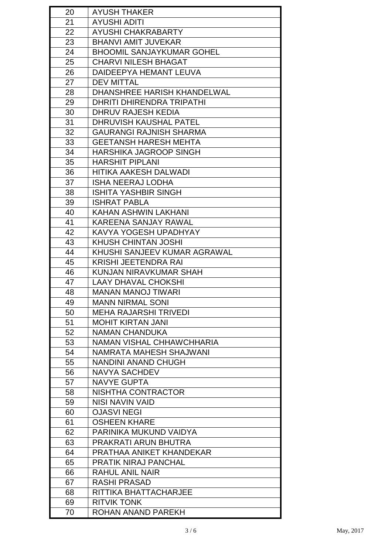| 20 | <b>AYUSH THAKER</b>              |
|----|----------------------------------|
| 21 | <b>AYUSHI ADITI</b>              |
| 22 | AYUSHI CHAKRABARTY               |
| 23 | <b>BHANVI AMIT JUVEKAR</b>       |
| 24 | <b>BHOOMIL SANJAYKUMAR GOHEL</b> |
| 25 | <b>CHARVI NILESH BHAGAT</b>      |
| 26 | DAIDEEPYA HEMANT LEUVA           |
| 27 | <b>DEV MITTAL</b>                |
| 28 | DHANSHREE HARISH KHANDELWAL      |
| 29 | DHRITI DHIRENDRA TRIPATHI        |
| 30 | DHRUV RAJESH KEDIA               |
| 31 | DHRUVISH KAUSHAL PATEL           |
| 32 | <b>GAURANGI RAJNISH SHARMA</b>   |
| 33 | GEETANSH HARESH MEHTA            |
| 34 | <b>HARSHIKA JAGROOP SINGH</b>    |
| 35 | <b>HARSHIT PIPLANI</b>           |
| 36 | HITIKA AAKESH DALWADI            |
| 37 | <b>ISHA NEERAJ LODHA</b>         |
| 38 | <b>ISHITA YASHBIR SINGH</b>      |
| 39 | <b>ISHRAT PABLA</b>              |
| 40 | KAHAN ASHWIN LAKHANI             |
| 41 | KAREENA SANJAY RAWAL             |
| 42 | KAVYA YOGESH UPADHYAY            |
| 43 | KHUSH CHINTAN JOSHI              |
| 44 | KHUSHI SANJEEV KUMAR AGRAWAL     |
| 45 | <b>KRISHI JEETENDRA RAI</b>      |
| 46 | KUNJAN NIRAVKUMAR SHAH           |
| 47 | <b>LAAY DHAVAL CHOKSHI</b>       |
| 48 | <b>MANAN MANOJ TIWARI</b>        |
| 49 | <b>MANN NIRMAL SONI</b>          |
| 50 | <b>MEHA RAJARSHI TRIVEDI</b>     |
| 51 | <b>MOHIT KIRTAN JANI</b>         |
| 52 | <b>NAMAN CHANDUKA</b>            |
| 53 | NAMAN VISHAL CHHAWCHHARIA        |
| 54 | NAMRATA MAHESH SHAJWANI          |
| 55 | <b>NANDINI ANAND CHUGH</b>       |
| 56 | <b>NAVYA SACHDEV</b>             |
| 57 | <b>NAVYE GUPTA</b>               |
| 58 | NISHTHA CONTRACTOR               |
| 59 | NISI NAVIN VAID                  |
| 60 | <b>OJASVI NEGI</b>               |
|    |                                  |
| 61 | <b>OSHEEN KHARE</b>              |
| 62 | PARINIKA MUKUND VAIDYA           |
| 63 | PRAKRATI ARUN BHUTRA             |
| 64 | PRATHAA ANIKET KHANDEKAR         |
| 65 | <b>PRATIK NIRAJ PANCHAL</b>      |
| 66 | <b>RAHUL ANIL NAIR</b>           |
| 67 | <b>RASHI PRASAD</b>              |
| 68 | RITTIKA BHATTACHARJEE            |
| 69 | <b>RITVIK TONK</b>               |
| 70 | ROHAN ANAND PAREKH               |